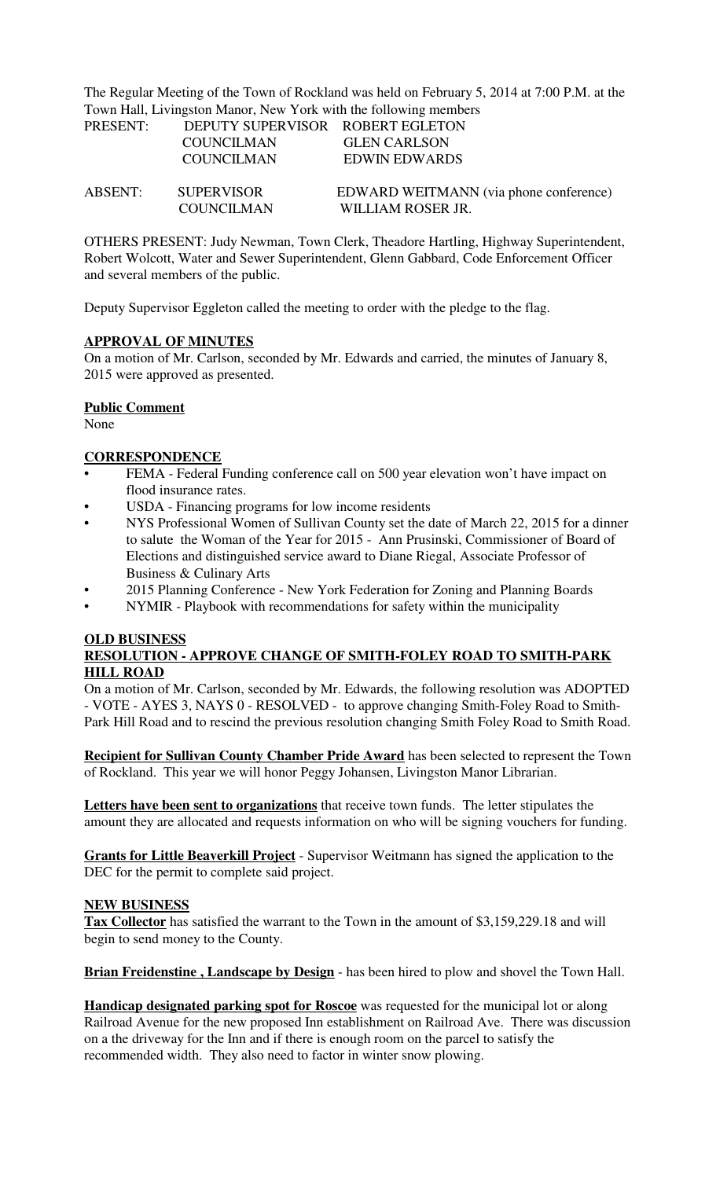The Regular Meeting of the Town of Rockland was held on February 5, 2014 at 7:00 P.M. at the Town Hall, Livingston Manor, New York with the following members

| PRESENT: | DEPUTY SUPERVISOR ROBERT EGLETON |                                        |
|----------|----------------------------------|----------------------------------------|
|          | <b>COUNCILMAN</b>                | <b>GLEN CARLSON</b>                    |
|          | <b>COUNCILMAN</b>                | <b>EDWIN EDWARDS</b>                   |
| ABSENT:  | <b>SUPERVISOR</b>                | EDWARD WEITMANN (via phone conference) |
|          | <b>COUNCILMAN</b>                | WILLIAM ROSER JR.                      |

OTHERS PRESENT: Judy Newman, Town Clerk, Theadore Hartling, Highway Superintendent, Robert Wolcott, Water and Sewer Superintendent, Glenn Gabbard, Code Enforcement Officer and several members of the public.

Deputy Supervisor Eggleton called the meeting to order with the pledge to the flag.

# **APPROVAL OF MINUTES**

On a motion of Mr. Carlson, seconded by Mr. Edwards and carried, the minutes of January 8, 2015 were approved as presented.

#### **Public Comment**

None

# **CORRESPONDENCE**

- FEMA Federal Funding conference call on 500 year elevation won't have impact on flood insurance rates.
- USDA Financing programs for low income residents
- NYS Professional Women of Sullivan County set the date of March 22, 2015 for a dinner to salute the Woman of the Year for 2015 - Ann Prusinski, Commissioner of Board of Elections and distinguished service award to Diane Riegal, Associate Professor of Business & Culinary Arts
- 2015 Planning Conference New York Federation for Zoning and Planning Boards
- NYMIR Playbook with recommendations for safety within the municipality

# **OLD BUSINESS RESOLUTION - APPROVE CHANGE OF SMITH-FOLEY ROAD TO SMITH-PARK HILL ROAD**

On a motion of Mr. Carlson, seconded by Mr. Edwards, the following resolution was ADOPTED - VOTE - AYES 3, NAYS 0 - RESOLVED - to approve changing Smith-Foley Road to Smith-Park Hill Road and to rescind the previous resolution changing Smith Foley Road to Smith Road.

**Recipient for Sullivan County Chamber Pride Award** has been selected to represent the Town of Rockland. This year we will honor Peggy Johansen, Livingston Manor Librarian.

**Letters have been sent to organizations** that receive town funds. The letter stipulates the amount they are allocated and requests information on who will be signing vouchers for funding.

**Grants for Little Beaverkill Project** - Supervisor Weitmann has signed the application to the DEC for the permit to complete said project.

# **NEW BUSINESS**

**Tax Collector** has satisfied the warrant to the Town in the amount of \$3,159,229.18 and will begin to send money to the County.

**Brian Freidenstine, Landscape by Design** - has been hired to plow and shovel the Town Hall.

**Handicap designated parking spot for Roscoe** was requested for the municipal lot or along Railroad Avenue for the new proposed Inn establishment on Railroad Ave. There was discussion on a the driveway for the Inn and if there is enough room on the parcel to satisfy the recommended width. They also need to factor in winter snow plowing.